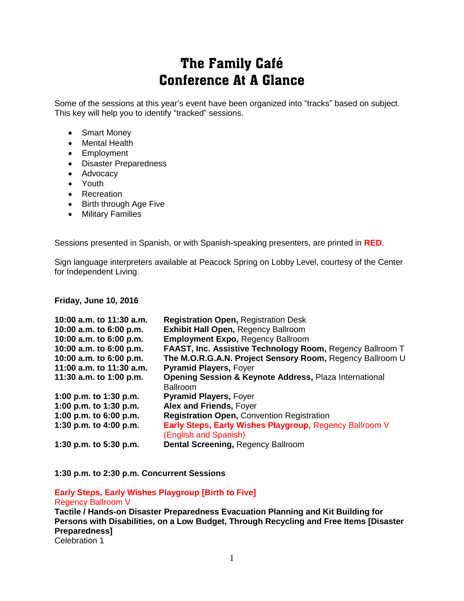# The Family Café Conference At A Glance

Some of the sessions at this year's event have been organized into "tracks" based on subject. This key will help you to identify "tracked" sessions.

- Smart Money
- Mental Health
- Employment
- Disaster Preparedness
- Advocacy
- Youth
- Recreation
- Birth through Age Five
- Military Families

Sessions presented in Spanish, or with Spanish-speaking presenters, are printed in **RED**.

Sign language interpreters available at Peacock Spring on Lobby Level, courtesy of the Center for Independent Living.

#### **Friday, June 10, 2016**

| 10:00 a.m. to 11:30 a.m. | <b>Registration Open, Registration Desk</b>                       |
|--------------------------|-------------------------------------------------------------------|
| 10:00 a.m. to 6:00 p.m.  | <b>Exhibit Hall Open, Regency Ballroom</b>                        |
| 10:00 a.m. to 6:00 p.m.  | <b>Employment Expo, Regency Ballroom</b>                          |
| 10:00 a.m. to 6:00 p.m.  | FAAST, Inc. Assistive Technology Room, Regency Ballroom T         |
| 10:00 a.m. to 6:00 p.m.  | The M.O.R.G.A.N. Project Sensory Room, Regency Ballroom U         |
| 11:00 a.m. to 11:30 a.m. | <b>Pyramid Players, Foyer</b>                                     |
| 11:30 a.m. to 1:00 p.m.  | <b>Opening Session &amp; Keynote Address, Plaza International</b> |
|                          | <b>Ballroom</b>                                                   |
| 1:00 p.m. to 1:30 p.m.   | <b>Pyramid Players, Foyer</b>                                     |
| 1:00 p.m. to 1:30 p.m.   | Alex and Friends, Foyer                                           |
| 1:00 p.m. to 6:00 p.m.   | <b>Registration Open, Convention Registration</b>                 |
| 1:30 p.m. to 4:00 p.m.   | Early Steps, Early Wishes Playgroup, Regency Ballroom V           |
|                          | (English and Spanish)                                             |
| 1:30 p.m. to 5:30 p.m.   | Dental Screening, Regency Ballroom                                |

**1:30 p.m. to 2:30 p.m. Concurrent Sessions**

### **Early Steps, Early Wishes Playgroup [Birth to Five]** Regency Ballroom V

**Tactile / Hands-on Disaster Preparedness Evacuation Planning and Kit Building for Persons with Disabilities, on a Low Budget, Through Recycling and Free Items [Disaster Preparedness]** Celebration 1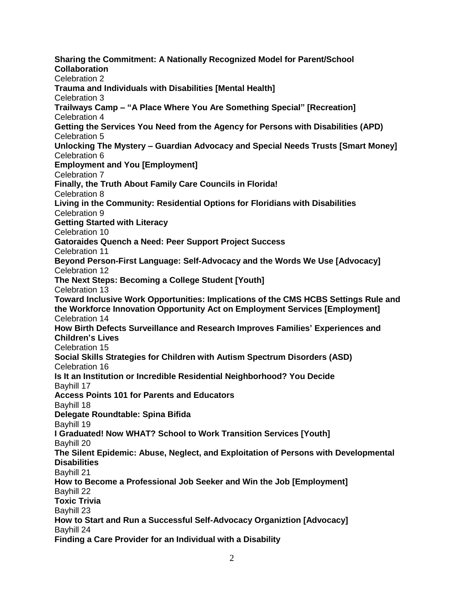**Sharing the Commitment: A Nationally Recognized Model for Parent/School Collaboration** Celebration 2 **Trauma and Individuals with Disabilities [Mental Health]** Celebration 3 **Trailways Camp – "A Place Where You Are Something Special" [Recreation]** Celebration 4 **Getting the Services You Need from the Agency for Persons with Disabilities (APD)** Celebration 5 **Unlocking The Mystery – Guardian Advocacy and Special Needs Trusts [Smart Money]** Celebration 6 **Employment and You [Employment]** Celebration 7 **Finally, the Truth About Family Care Councils in Florida!** Celebration 8 **Living in the Community: Residential Options for Floridians with Disabilities** Celebration 9 **Getting Started with Literacy** Celebration 10 **Gatoraides Quench a Need: Peer Support Project Success** Celebration 11 **Beyond Person-First Language: Self-Advocacy and the Words We Use [Advocacy]** Celebration 12 **The Next Steps: Becoming a College Student [Youth]** Celebration 13 **Toward Inclusive Work Opportunities: Implications of the CMS HCBS Settings Rule and the Workforce Innovation Opportunity Act on Employment Services [Employment]** Celebration 14 **How Birth Defects Surveillance and Research Improves Families' Experiences and Children's Lives** Celebration 15 **Social Skills Strategies for Children with Autism Spectrum Disorders (ASD)** Celebration 16 **Is It an Institution or Incredible Residential Neighborhood? You Decide** Bayhill 17 **Access Points 101 for Parents and Educators** Bayhill 18 **Delegate Roundtable: Spina Bifida** Bayhill 19 **I Graduated! Now WHAT? School to Work Transition Services [Youth]** Bayhill 20 **The Silent Epidemic: Abuse, Neglect, and Exploitation of Persons with Developmental Disabilities** Bayhill 21 **How to Become a Professional Job Seeker and Win the Job [Employment]** Bayhill 22 **Toxic Trivia** Bayhill 23 **How to Start and Run a Successful Self-Advocacy Organiztion [Advocacy]** Bayhill 24 **Finding a Care Provider for an Individual with a Disability**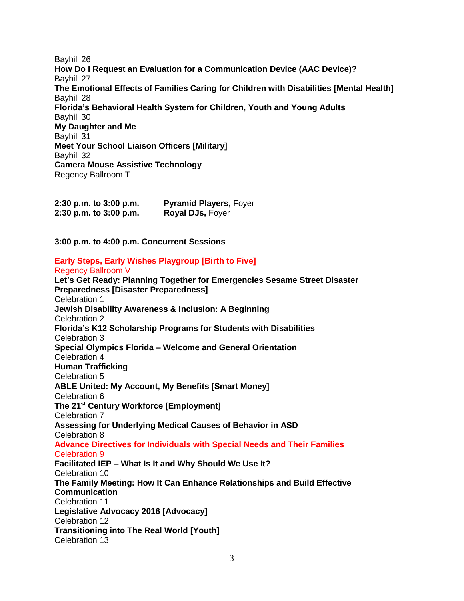Bayhill 26 **How Do I Request an Evaluation for a Communication Device (AAC Device)?** Bayhill 27 **The Emotional Effects of Families Caring for Children with Disabilities [Mental Health]** Bayhill 28 **Florida's Behavioral Health System for Children, Youth and Young Adults** Bayhill 30 **My Daughter and Me** Bayhill 31 **Meet Your School Liaison Officers [Military]** Bayhill 32 **Camera Mouse Assistive Technology** Regency Ballroom T

| 2:30 p.m. to 3:00 p.m. | <b>Pyramid Players, Foyer</b> |
|------------------------|-------------------------------|
| 2:30 p.m. to 3:00 p.m. | <b>Royal DJs, Foyer</b>       |

**3:00 p.m. to 4:00 p.m. Concurrent Sessions**

## **Early Steps, Early Wishes Playgroup [Birth to Five]**

Regency Ballroom V

**Let's Get Ready: Planning Together for Emergencies Sesame Street Disaster Preparedness [Disaster Preparedness]** Celebration 1 **Jewish Disability Awareness & Inclusion: A Beginning** Celebration 2 **Florida's K12 Scholarship Programs for Students with Disabilities**  Celebration 3 **Special Olympics Florida – Welcome and General Orientation** Celebration 4 **Human Trafficking** Celebration 5 **ABLE United: My Account, My Benefits [Smart Money]** Celebration 6 **The 21st Century Workforce [Employment]** Celebration 7 **Assessing for Underlying Medical Causes of Behavior in ASD** Celebration 8 **Advance Directives for Individuals with Special Needs and Their Families** Celebration 9 **Facilitated IEP – What Is It and Why Should We Use It?** Celebration 10 **The Family Meeting: How It Can Enhance Relationships and Build Effective Communication** Celebration 11 **Legislative Advocacy 2016 [Advocacy]** Celebration 12 **Transitioning into The Real World [Youth]** Celebration 13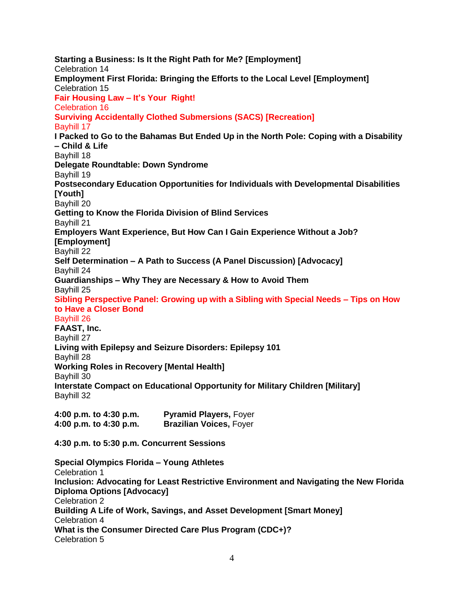**Starting a Business: Is It the Right Path for Me? [Employment]** Celebration 14 **Employment First Florida: Bringing the Efforts to the Local Level [Employment]** Celebration 15 **Fair Housing Law – It's Your Right!** Celebration 16 **Surviving Accidentally Clothed Submersions (SACS) [Recreation]** Bayhill 17 **I Packed to Go to the Bahamas But Ended Up in the North Pole: Coping with a Disability – Child & Life** Bayhill 18 **Delegate Roundtable: Down Syndrome** Bayhill 19 **Postsecondary Education Opportunities for Individuals with Developmental Disabilities [Youth]** Bayhill 20 **Getting to Know the Florida Division of Blind Services** Bayhill 21 **Employers Want Experience, But How Can I Gain Experience Without a Job? [Employment]** Bayhill 22 **Self Determination – A Path to Success (A Panel Discussion) [Advocacy]** Bayhill 24 **Guardianships – Why They are Necessary & How to Avoid Them** Bayhill 25 **Sibling Perspective Panel: Growing up with a Sibling with Special Needs – Tips on How to Have a Closer Bond** Bayhill 26 **FAAST, Inc.** Bayhill 27 **Living with Epilepsy and Seizure Disorders: Epilepsy 101** Bayhill 28 **Working Roles in Recovery [Mental Health]** Bayhill 30 **Interstate Compact on Educational Opportunity for Military Children [Military]** Bayhill 32 **4:00 p.m. to 4:30 p.m. Pyramid Players,** Foyer **4:00 p.m. to 4:30 p.m. Brazilian Voices,** Foyer **4:30 p.m. to 5:30 p.m. Concurrent Sessions**

**Special Olympics Florida – Young Athletes** Celebration 1 **Inclusion: Advocating for Least Restrictive Environment and Navigating the New Florida Diploma Options [Advocacy]** Celebration 2 **Building A Life of Work, Savings, and Asset Development [Smart Money]** Celebration 4 **What is the Consumer Directed Care Plus Program (CDC+)?**  Celebration 5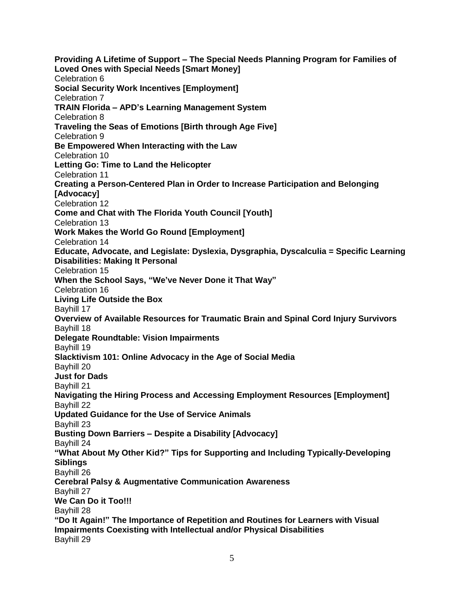**Providing A Lifetime of Support – The Special Needs Planning Program for Families of Loved Ones with Special Needs [Smart Money]** Celebration 6 **Social Security Work Incentives [Employment]** Celebration 7 **TRAIN Florida – APD's Learning Management System** Celebration 8 **Traveling the Seas of Emotions [Birth through Age Five]** Celebration 9 **Be Empowered When Interacting with the Law** Celebration 10 **Letting Go: Time to Land the Helicopter** Celebration 11 **Creating a Person-Centered Plan in Order to Increase Participation and Belonging [Advocacy]** Celebration 12 **Come and Chat with The Florida Youth Council [Youth]** Celebration 13 **Work Makes the World Go Round [Employment]** Celebration 14 **Educate, Advocate, and Legislate: Dyslexia, Dysgraphia, Dyscalculia = Specific Learning Disabilities: Making It Personal** Celebration 15 **When the School Says, "We've Never Done it That Way"** Celebration 16 **Living Life Outside the Box** Bayhill 17 **Overview of Available Resources for Traumatic Brain and Spinal Cord Injury Survivors** Bayhill 18 **Delegate Roundtable: Vision Impairments** Bayhill 19 **Slacktivism 101: Online Advocacy in the Age of Social Media** Bayhill 20 **Just for Dads** Bayhill 21 **Navigating the Hiring Process and Accessing Employment Resources [Employment]** Bayhill 22 **Updated Guidance for the Use of Service Animals** Bayhill 23 **Busting Down Barriers – Despite a Disability [Advocacy]** Bayhill 24 **"What About My Other Kid?" Tips for Supporting and Including Typically-Developing Siblings** Bayhill 26 **Cerebral Palsy & Augmentative Communication Awareness** Bayhill 27 **We Can Do it Too!!!** Bayhill 28 **"Do It Again!" The Importance of Repetition and Routines for Learners with Visual Impairments Coexisting with Intellectual and/or Physical Disabilities** Bayhill 29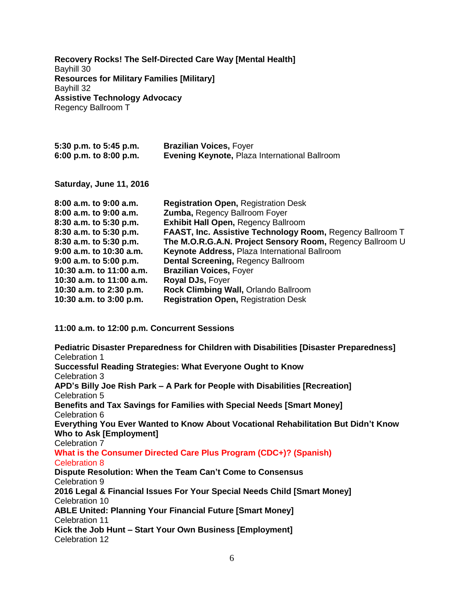**Recovery Rocks! The Self-Directed Care Way [Mental Health]** Bayhill 30 **Resources for Military Families [Military]** Bayhill 32 **Assistive Technology Advocacy** Regency Ballroom T

| 5:30 p.m. to 5:45 p.m.     | <b>Brazilian Voices, Foyer</b>                                   |
|----------------------------|------------------------------------------------------------------|
| 6:00 p.m. to 8:00 p.m.     | <b>Evening Keynote, Plaza International Ballroom</b>             |
| Saturday, June 11, 2016    |                                                                  |
| $8:00$ a.m. to $9:00$ a.m. | <b>Registration Open, Registration Desk</b>                      |
| $8:00$ a.m. to $9:00$ a.m. | <b>Zumba, Regency Ballroom Foyer</b>                             |
| 8:30 a.m. to 5:30 p.m.     | <b>Exhibit Hall Open, Regency Ballroom</b>                       |
| 8:30 a.m. to 5:30 p.m.     | <b>FAAST, Inc. Assistive Technology Room, Regency Ballroom T</b> |
| 8:30 a.m. to 5:30 p.m.     | The M.O.R.G.A.N. Project Sensory Room, Regency Ballroom U        |
| $9:00$ a.m. to 10:30 a.m.  | Keynote Address, Plaza International Ballroom                    |
| $9:00$ a.m. to $5:00$ p.m. | <b>Dental Screening, Regency Ballroom</b>                        |
| 10:30 a.m. to 11:00 a.m.   | <b>Brazilian Voices, Foyer</b>                                   |
| 10:30 a.m. to 11:00 a.m.   | Royal DJs, Foyer                                                 |
| 10:30 a.m. to 2:30 p.m.    | Rock Climbing Wall, Orlando Ballroom                             |
| 10:30 a.m. to 3:00 p.m.    | <b>Registration Open, Registration Desk</b>                      |

**11:00 a.m. to 12:00 p.m. Concurrent Sessions**

**Pediatric Disaster Preparedness for Children with Disabilities [Disaster Preparedness]** Celebration 1 **Successful Reading Strategies: What Everyone Ought to Know** Celebration 3 **APD's Billy Joe Rish Park – A Park for People with Disabilities [Recreation]** Celebration 5 **Benefits and Tax Savings for Families with Special Needs [Smart Money]** Celebration 6 **Everything You Ever Wanted to Know About Vocational Rehabilitation But Didn't Know Who to Ask [Employment]** Celebration 7 **What is the Consumer Directed Care Plus Program (CDC+)? (Spanish)** Celebration 8 **Dispute Resolution: When the Team Can't Come to Consensus** Celebration 9 **2016 Legal & Financial Issues For Your Special Needs Child [Smart Money]** Celebration 10 **ABLE United: Planning Your Financial Future [Smart Money]** Celebration 11 **Kick the Job Hunt – Start Your Own Business [Employment]** Celebration 12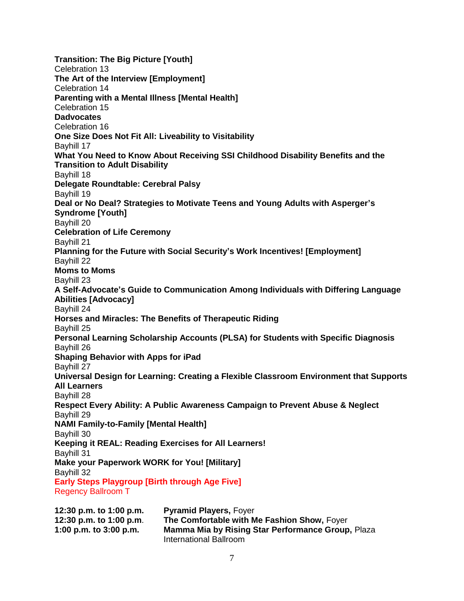**Transition: The Big Picture [Youth]** Celebration 13 **The Art of the Interview [Employment]** Celebration 14 **Parenting with a Mental Illness [Mental Health]** Celebration 15 **Dadvocates** Celebration 16 **One Size Does Not Fit All: Liveability to Visitability** Bayhill 17 **What You Need to Know About Receiving SSI Childhood Disability Benefits and the Transition to Adult Disability** Bayhill 18 **Delegate Roundtable: Cerebral Palsy** Bayhill 19 **Deal or No Deal? Strategies to Motivate Teens and Young Adults with Asperger's Syndrome [Youth]** Bayhill 20 **Celebration of Life Ceremony** Bayhill 21 **Planning for the Future with Social Security's Work Incentives! [Employment]** Bayhill 22 **Moms to Moms** Bayhill 23 **A Self-Advocate's Guide to Communication Among Individuals with Differing Language Abilities [Advocacy]** Bayhill 24 **Horses and Miracles: The Benefits of Therapeutic Riding** Bayhill 25 **Personal Learning Scholarship Accounts (PLSA) for Students with Specific Diagnosis** Bayhill 26 **Shaping Behavior with Apps for iPad** Bayhill 27 **Universal Design for Learning: Creating a Flexible Classroom Environment that Supports All Learners** Bayhill 28 **Respect Every Ability: A Public Awareness Campaign to Prevent Abuse & Neglect** Bayhill 29 **NAMI Family-to-Family [Mental Health]** Bayhill 30 **Keeping it REAL: Reading Exercises for All Learners!** Bayhill 31 **Make your Paperwork WORK for You! [Military]** Bayhill 32 **Early Steps Playgroup [Birth through Age Five]** Regency Ballroom T

| 12:30 p.m. to 1:00 p.m.  | <b>Pyramid Players, Foyer</b>                            |
|--------------------------|----------------------------------------------------------|
| 12:30 p.m. to 1:00 p.m.  | The Comfortable with Me Fashion Show, Foyer              |
| 1:00 p.m. to $3:00$ p.m. | <b>Mamma Mia by Rising Star Performance Group, Plaza</b> |
|                          | International Ballroom                                   |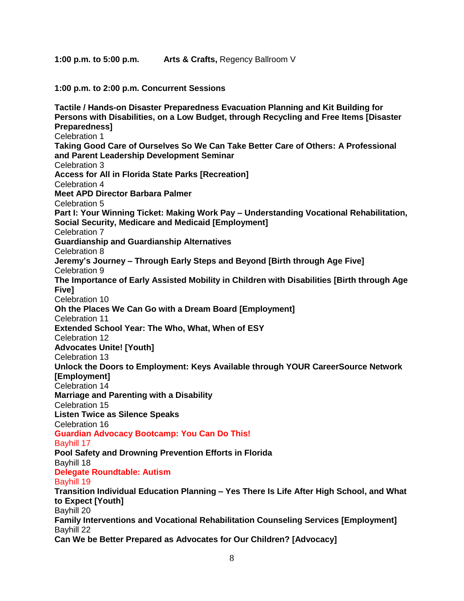**1:00 p.m. to 5:00 p.m. Arts & Crafts,** Regency Ballroom V

**1:00 p.m. to 2:00 p.m. Concurrent Sessions**

**Tactile / Hands-on Disaster Preparedness Evacuation Planning and Kit Building for Persons with Disabilities, on a Low Budget, through Recycling and Free Items [Disaster Preparedness]** Celebration 1 **Taking Good Care of Ourselves So We Can Take Better Care of Others: A Professional and Parent Leadership Development Seminar**  Celebration 3 **Access for All in Florida State Parks [Recreation]** Celebration 4 **Meet APD Director Barbara Palmer** Celebration 5 **Part I: Your Winning Ticket: Making Work Pay – Understanding Vocational Rehabilitation, Social Security, Medicare and Medicaid [Employment]** Celebration 7 **Guardianship and Guardianship Alternatives** Celebration 8 **Jeremy's Journey – Through Early Steps and Beyond [Birth through Age Five]** Celebration 9 **The Importance of Early Assisted Mobility in Children with Disabilities [Birth through Age Five]** Celebration 10 **Oh the Places We Can Go with a Dream Board [Employment]** Celebration 11 **Extended School Year: The Who, What, When of ESY** Celebration 12 **Advocates Unite! [Youth]** Celebration 13 **Unlock the Doors to Employment: Keys Available through YOUR CareerSource Network [Employment]** Celebration 14 **Marriage and Parenting with a Disability** Celebration 15 **Listen Twice as Silence Speaks** Celebration 16 **Guardian Advocacy Bootcamp: You Can Do This!** Bayhill 17 **Pool Safety and Drowning Prevention Efforts in Florida** Bayhill 18 **Delegate Roundtable: Autism** Bayhill 19 **Transition Individual Education Planning – Yes There Is Life After High School, and What to Expect [Youth]** Bayhill 20 **Family Interventions and Vocational Rehabilitation Counseling Services [Employment]** Bayhill 22 **Can We be Better Prepared as Advocates for Our Children? [Advocacy]**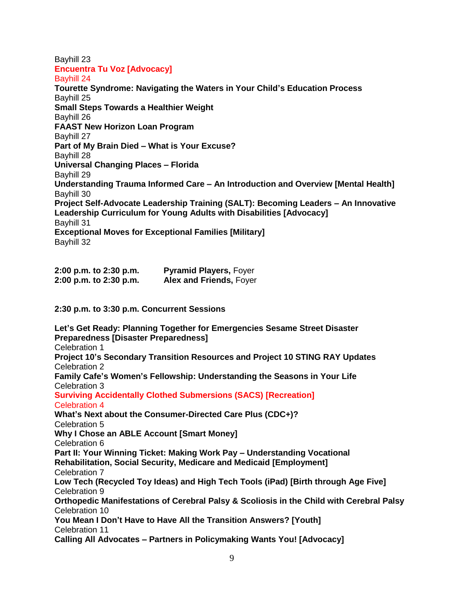#### Bayhill 23 **Encuentra Tu Voz [Advocacy]** Bayhill 24

**Tourette Syndrome: Navigating the Waters in Your Child's Education Process** Bayhill 25 **Small Steps Towards a Healthier Weight** Bayhill 26 **FAAST New Horizon Loan Program** Bayhill 27 **Part of My Brain Died – What is Your Excuse?** Bayhill 28 **Universal Changing Places – Florida**  Bayhill 29 **Understanding Trauma Informed Care – An Introduction and Overview [Mental Health]** Bayhill 30 **Project Self-Advocate Leadership Training (SALT): Becoming Leaders – An Innovative Leadership Curriculum for Young Adults with Disabilities [Advocacy]** Bayhill 31 **Exceptional Moves for Exceptional Families [Military]** Bayhill 32

| 2:00 p.m. to 2:30 p.m. | <b>Pyramid Players, Foyer</b>  |
|------------------------|--------------------------------|
| 2:00 p.m. to 2:30 p.m. | <b>Alex and Friends, Foyer</b> |

**2:30 p.m. to 3:30 p.m. Concurrent Sessions**

**Let's Get Ready: Planning Together for Emergencies Sesame Street Disaster Preparedness [Disaster Preparedness]** Celebration 1 **Project 10's Secondary Transition Resources and Project 10 STING RAY Updates** Celebration 2 **Family Cafe's Women's Fellowship: Understanding the Seasons in Your Life** Celebration 3 **Surviving Accidentally Clothed Submersions (SACS) [Recreation]** Celebration 4 **What's Next about the Consumer-Directed Care Plus (CDC+)?** Celebration 5 **Why I Chose an ABLE Account [Smart Money]** Celebration 6 **Part II: Your Winning Ticket: Making Work Pay – Understanding Vocational Rehabilitation, Social Security, Medicare and Medicaid [Employment]** Celebration 7 **Low Tech (Recycled Toy Ideas) and High Tech Tools (iPad) [Birth through Age Five]** Celebration 9 **Orthopedic Manifestations of Cerebral Palsy & Scoliosis in the Child with Cerebral Palsy** Celebration 10 **You Mean I Don't Have to Have All the Transition Answers? [Youth]** Celebration 11 **Calling All Advocates – Partners in Policymaking Wants You! [Advocacy]**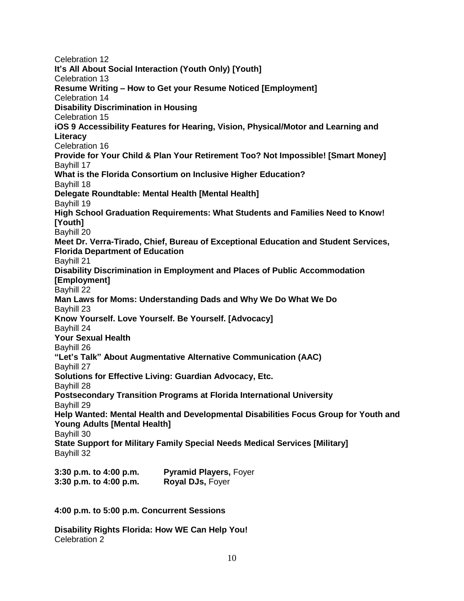Celebration 12 **It's All About Social Interaction (Youth Only) [Youth]** Celebration 13 **Resume Writing – How to Get your Resume Noticed [Employment]** Celebration 14 **Disability Discrimination in Housing** Celebration 15 **iOS 9 Accessibility Features for Hearing, Vision, Physical/Motor and Learning and Literacy** Celebration 16 **Provide for Your Child & Plan Your Retirement Too? Not Impossible! [Smart Money]** Bayhill 17 **What is the Florida Consortium on Inclusive Higher Education?** Bayhill 18 **Delegate Roundtable: Mental Health [Mental Health]** Bayhill 19 **High School Graduation Requirements: What Students and Families Need to Know! [Youth]** Bayhill 20 **Meet Dr. Verra-Tirado, Chief, Bureau of Exceptional Education and Student Services, Florida Department of Education** Bayhill 21 **Disability Discrimination in Employment and Places of Public Accommodation [Employment]** Bayhill 22 **Man Laws for Moms: Understanding Dads and Why We Do What We Do** Bayhill 23 **Know Yourself. Love Yourself. Be Yourself. [Advocacy]** Bayhill 24 **Your Sexual Health** Bayhill 26 **"Let's Talk" About Augmentative Alternative Communication (AAC)** Bayhill 27 **Solutions for Effective Living: Guardian Advocacy, Etc.** Bayhill 28 **Postsecondary Transition Programs at Florida International University** Bayhill 29 **Help Wanted: Mental Health and Developmental Disabilities Focus Group for Youth and Young Adults [Mental Health]** Bayhill 30 **State Support for Military Family Special Needs Medical Services [Military]** Bayhill 32 **3:30 p.m. to 4:00 p.m. Pyramid Players,** Foyer

**3:30 p.m. to 4:00 p.m. Royal DJs,** Foyer

**4:00 p.m. to 5:00 p.m. Concurrent Sessions**

**Disability Rights Florida: How WE Can Help You!** Celebration 2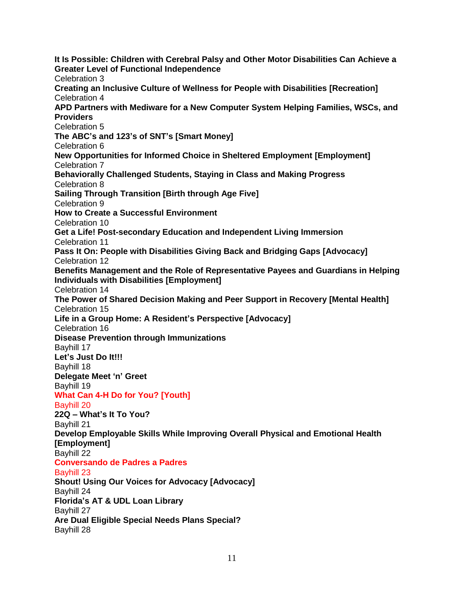**It Is Possible: Children with Cerebral Palsy and Other Motor Disabilities Can Achieve a Greater Level of Functional Independence** Celebration 3 **Creating an Inclusive Culture of Wellness for People with Disabilities [Recreation]** Celebration 4 **APD Partners with Mediware for a New Computer System Helping Families, WSCs, and Providers**  Celebration 5 **The ABC's and 123's of SNT's [Smart Money]** Celebration 6 **New Opportunities for Informed Choice in Sheltered Employment [Employment]** Celebration 7 **Behaviorally Challenged Students, Staying in Class and Making Progress** Celebration 8 **Sailing Through Transition [Birth through Age Five]** Celebration 9 **How to Create a Successful Environment** Celebration 10 **Get a Life! Post-secondary Education and Independent Living Immersion** Celebration 11 **Pass It On: People with Disabilities Giving Back and Bridging Gaps [Advocacy]** Celebration 12 **Benefits Management and the Role of Representative Payees and Guardians in Helping Individuals with Disabilities [Employment]** Celebration 14 **The Power of Shared Decision Making and Peer Support in Recovery [Mental Health]** Celebration 15 **Life in a Group Home: A Resident's Perspective [Advocacy]** Celebration 16 **Disease Prevention through Immunizations** Bayhill 17 **Let's Just Do It!!!** Bayhill 18 **Delegate Meet 'n' Greet** Bayhill 19 **What Can 4-H Do for You? [Youth]** Bayhill 20 **22Q – What's It To You?** Bayhill 21 **Develop Employable Skills While Improving Overall Physical and Emotional Health [Employment]** Bayhill 22 **Conversando de Padres a Padres** Bayhill 23 **Shout! Using Our Voices for Advocacy [Advocacy]** Bayhill 24 **Florida's AT & UDL Loan Library** Bayhill 27 **Are Dual Eligible Special Needs Plans Special?** Bayhill 28